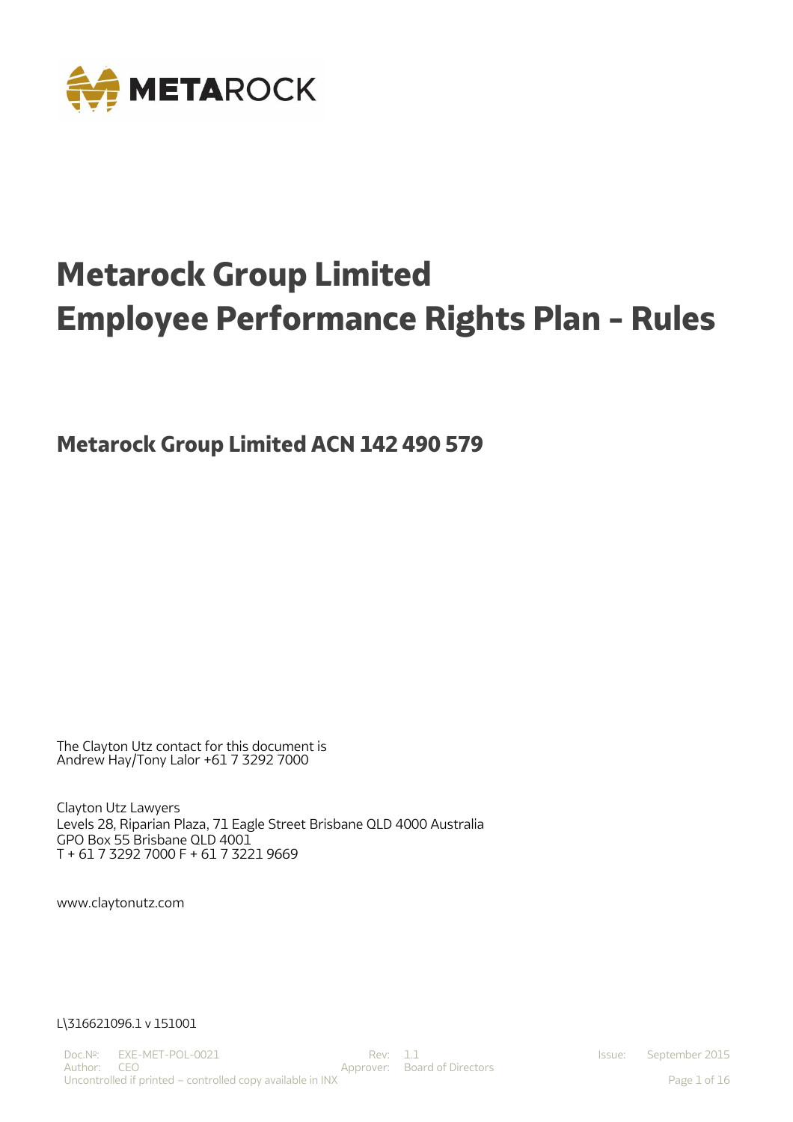

# **Metarock Group Limited Employee Performance Rights Plan - Rules**

**Metarock Group Limited ACN 142 490 579**

The Clayton Utz contact for this document is Andrew Hay/Tony Lalor +61 7 3292 7000

Clayton Utz Lawyers Levels 28, Riparian Plaza, 71 Eagle Street Brisbane QLD 4000 Australia GPO Box 55 Brisbane QLD 4001 T + 61 7 3292 7000 F + 61 7 3221 9669

[www.claytonutz.com](http://www.claytonutz.com/)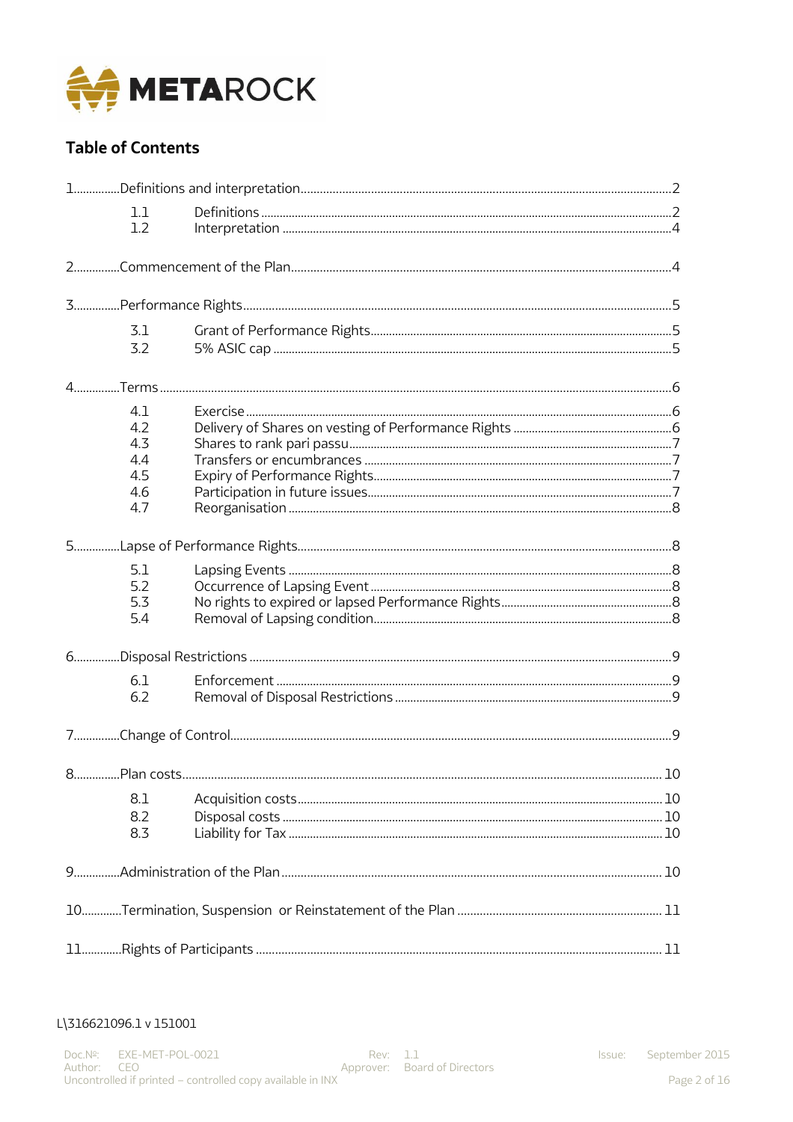

# **Table of Contents**

|    | 1.1<br>1.2                                    |  |    |
|----|-----------------------------------------------|--|----|
|    |                                               |  |    |
|    |                                               |  |    |
|    | 3.1<br>3.2                                    |  |    |
|    |                                               |  |    |
|    | 4.1<br>4.2<br>4.3<br>4.4<br>4.5<br>4.6<br>4.7 |  |    |
|    |                                               |  |    |
|    | 5.1<br>5.2<br>5.3<br>5.4                      |  |    |
|    |                                               |  |    |
|    | 6.1<br>6.2                                    |  |    |
|    |                                               |  |    |
| 8. |                                               |  | 10 |
|    | 8.1<br>8.2<br>8.3                             |  |    |
|    |                                               |  |    |
|    |                                               |  |    |
|    |                                               |  |    |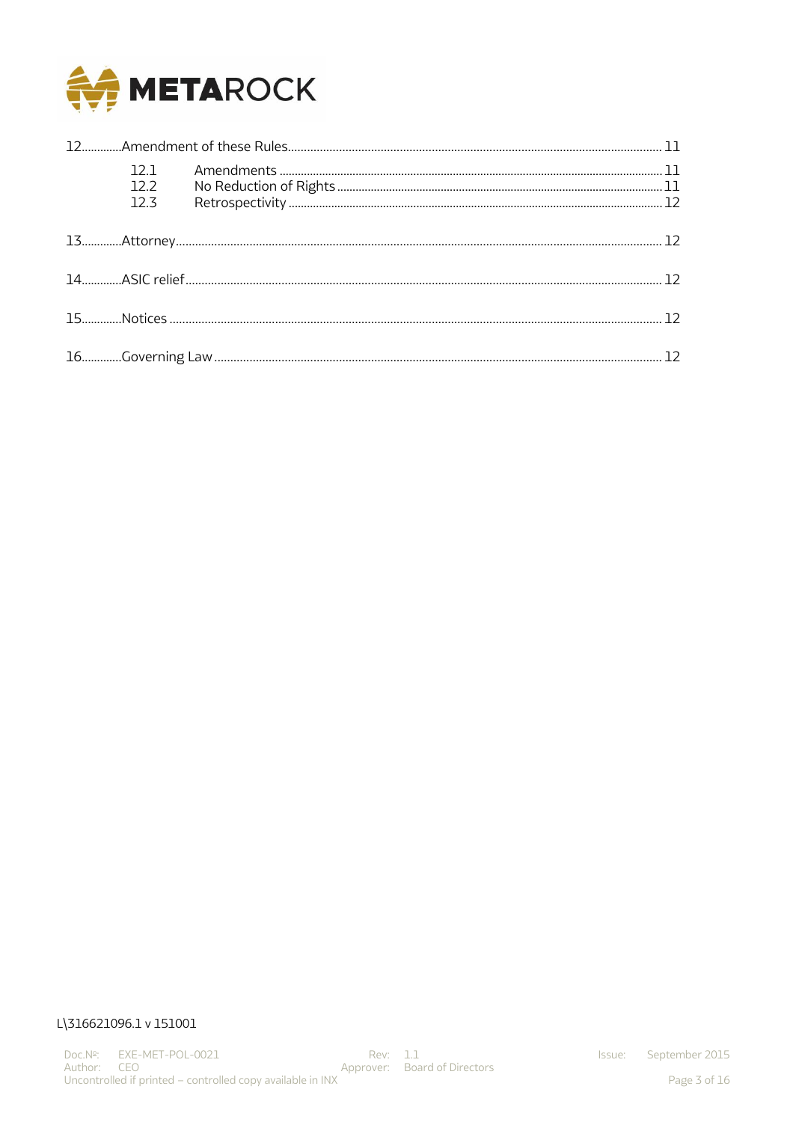

|  | 122<br>12 <sub>3</sub> |  |  |  |
|--|------------------------|--|--|--|
|  |                        |  |  |  |
|  |                        |  |  |  |
|  |                        |  |  |  |
|  |                        |  |  |  |
|  |                        |  |  |  |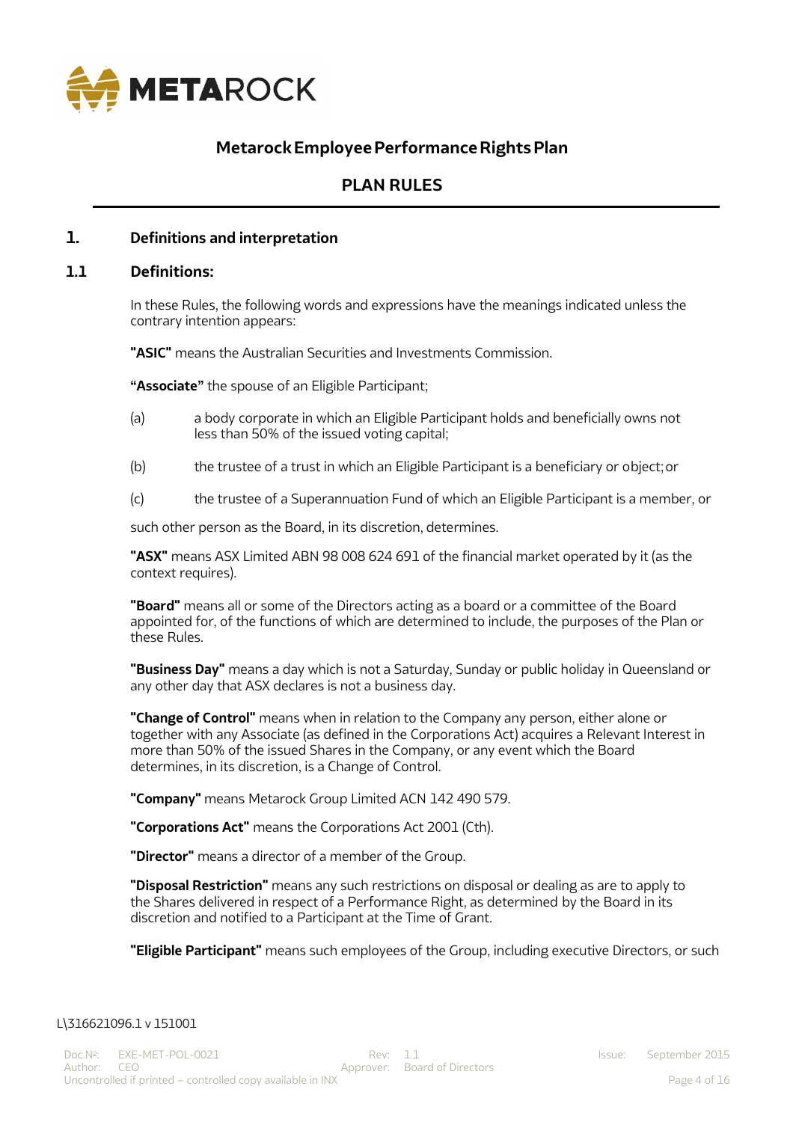

# **MetarockEmployeePerformanceRightsPlan**

# **PLAN RULES**

#### **1. Definitions and interpretation**

#### **1.1 Definitions:**

In these Rules, the following words and expressions have the meanings indicated unless the contrary intention appears:

**"ASIC"** means the Australian Securities and Investments Commission.

**"Associate"** the spouse of an Eligible Participant;

- (a) a body corporate in which an Eligible Participant holds and beneficially owns not less than 50% of the issued voting capital;
- (b) the trustee of a trust in which an Eligible Participant is a beneficiary or object;or
- (c) the trustee of a Superannuation Fund of which an Eligible Participant is a member, or

such other person as the Board, in its discretion, determines.

**"ASX"** means ASX Limited ABN 98 008 624 691 of the financial market operated by it (as the context requires).

**"Board"** means all or some of the Directors acting as a board or a committee of the Board appointed for, of the functions of which are determined to include, the purposes of the Plan or these Rules.

**"Business Day"** means a day which is not a Saturday, Sunday or public holiday in Queensland or any other day that ASX declares is not a business day.

**"Change of Control"** means when in relation to the Company any person, either alone or together with any Associate (as defined in the Corporations Act) acquires a Relevant Interest in more than 50% of the issued Shares in the Company, or any event which the Board determines, in its discretion, is a Change of Control.

**"Company"** means Metarock Group Limited ACN 142 490 579.

**"Corporations Act"** means the Corporations Act 2001 (Cth).

**"Director"** means a director of a member of the Group.

**"Disposal Restriction"** means any such restrictions on disposal or dealing as are to apply to the Shares delivered in respect of a Performance Right, as determined by the Board in its discretion and notified to a Participant at the Time of Grant.

**"Eligible Participant"** means such employees of the Group, including executive Directors, or such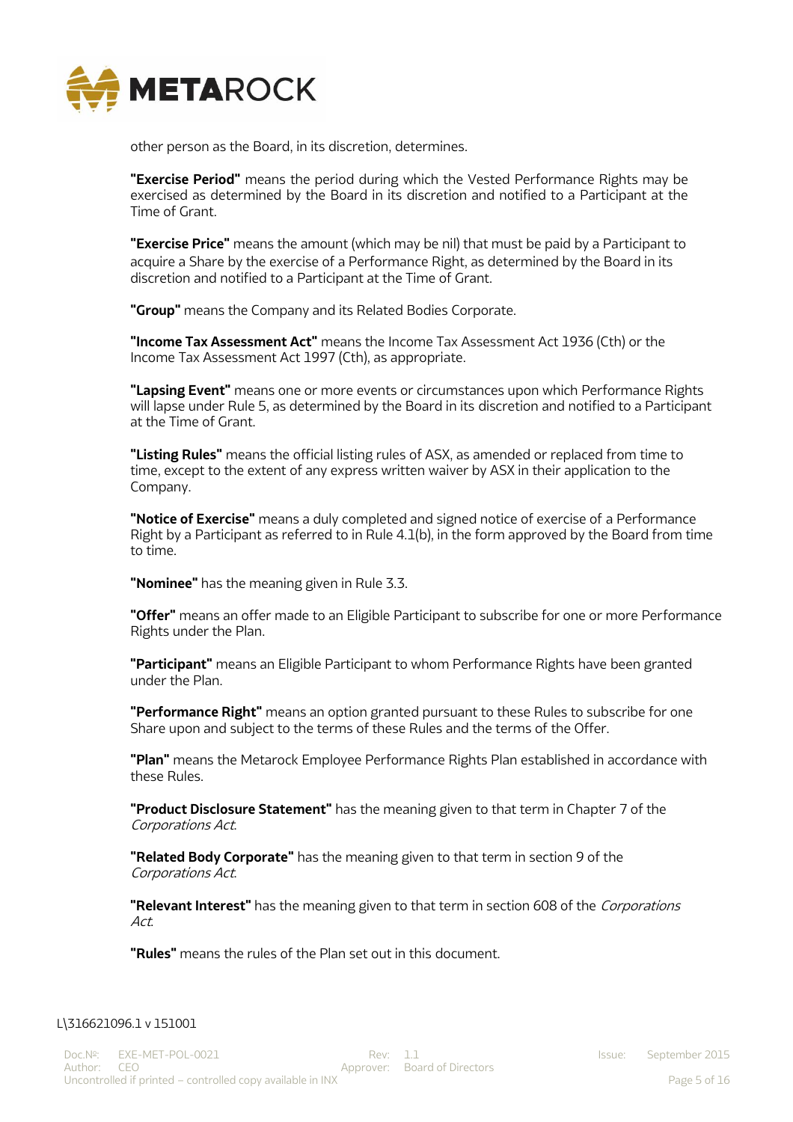

other person as the Board, in its discretion, determines.

**"Exercise Period"** means the period during which the Vested Performance Rights may be exercised as determined by the Board in its discretion and notified to a Participant at the Time of Grant.

**"Exercise Price"** means the amount (which may be nil) that must be paid by a Participant to acquire a Share by the exercise of a Performance Right, as determined by the Board in its discretion and notified to a Participant at the Time of Grant.

**"Group"** means the Company and its Related Bodies Corporate.

**"Income Tax Assessment Act"** means the Income Tax Assessment Act 1936 (Cth) or the Income Tax Assessment Act 1997 (Cth), as appropriate.

**"Lapsing Event"** means one or more events or circumstances upon which Performance Rights will lapse under Rule 5, as determined by the Board in its discretion and notified to a Participant at the Time of Grant.

**"Listing Rules"** means the official listing rules of ASX, as amended or replaced from time to time, except to the extent of any express written waiver by ASX in their application to the Company.

**"Notice of Exercise"** means a duly completed and signed notice of exercise of a Performance Right by a Participant as referred to in Rule 4.1(b), in the form approved by the Board from time to time.

**"Nominee"** has the meaning given in Rule 3.3.

**"Offer"** means an offer made to an Eligible Participant to subscribe for one or more Performance Rights under the Plan.

**"Participant"** means an Eligible Participant to whom Performance Rights have been granted under the Plan.

**"Performance Right"** means an option granted pursuant to these Rules to subscribe for one Share upon and subject to the terms of these Rules and the terms of the Offer.

**"Plan"** means the Metarock Employee Performance Rights Plan established in accordance with these Rules.

**"Product Disclosure Statement"** has the meaning given to that term in Chapter 7 of the Corporations Act.

**"Related Body Corporate"** has the meaning given to that term in section 9 of the Corporations Act.

**"Relevant Interest"** has the meaning given to that term in section 608 of the Corporations Act.

**"Rules"** means the rules of the Plan set out in this document.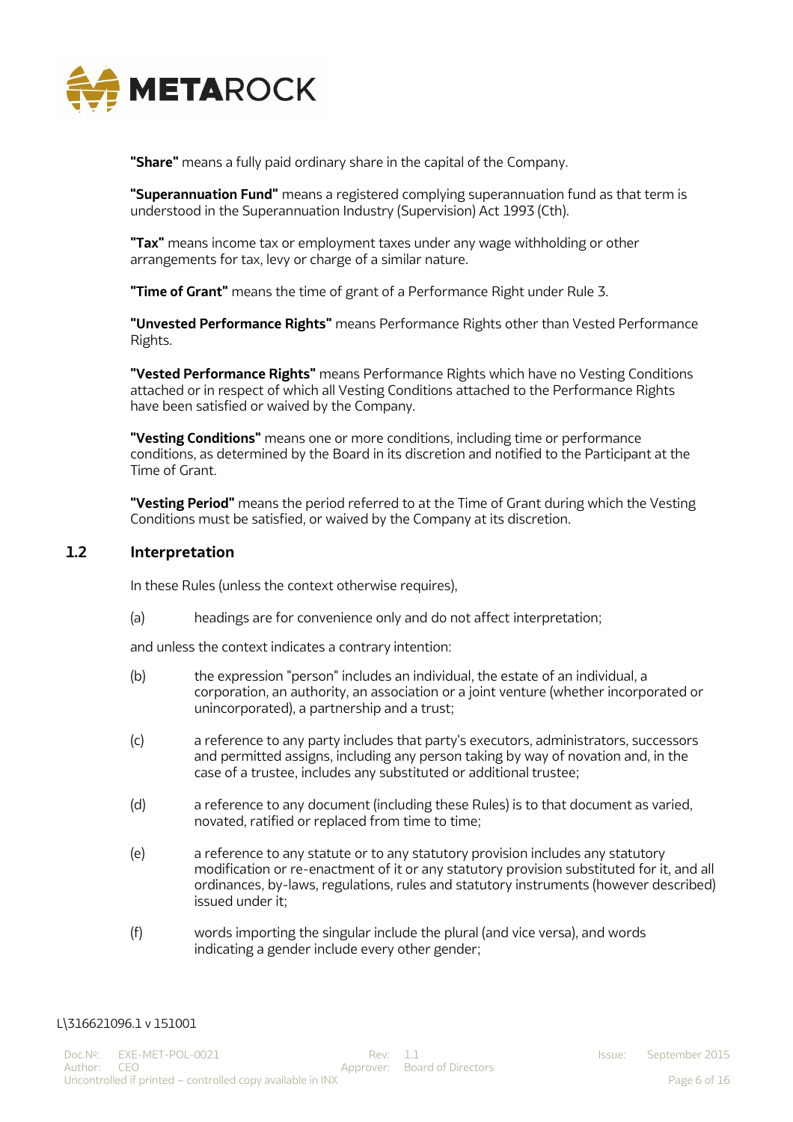

**"Share"** means a fully paid ordinary share in the capital of the Company.

**"Superannuation Fund"** means a registered complying superannuation fund as that term is understood in the Superannuation Industry (Supervision) Act 1993 (Cth).

**"Tax"** means income tax or employment taxes under any wage withholding or other arrangements for tax, levy or charge of a similar nature.

**"Time of Grant"** means the time of grant of a Performance Right under Rule 3.

**"Unvested Performance Rights"** means Performance Rights other than Vested Performance Rights.

**"Vested Performance Rights"** means Performance Rights which have no Vesting Conditions attached or in respect of which all Vesting Conditions attached to the Performance Rights have been satisfied or waived by the Company.

**"Vesting Conditions"** means one or more conditions, including time or performance conditions, as determined by the Board in its discretion and notified to the Participant at the Time of Grant.

**"Vesting Period"** means the period referred to at the Time of Grant during which the Vesting Conditions must be satisfied, or waived by the Company at its discretion.

#### **1.2 Interpretation**

In these Rules (unless the context otherwise requires),

(a) headings are for convenience only and do not affect interpretation;

and unless the context indicates a contrary intention:

- (b) the expression "person" includes an individual, the estate of an individual, a corporation, an authority, an association or a joint venture (whether incorporated or unincorporated), a partnership and a trust;
- (c) a reference to any party includes that party's executors, administrators, successors and permitted assigns, including any person taking by way of novation and, in the case of a trustee, includes any substituted or additional trustee;
- (d) a reference to any document (including these Rules) is to that document as varied, novated, ratified or replaced from time to time;
- (e) a reference to any statute or to any statutory provision includes any statutory modification or re-enactment of it or any statutory provision substituted for it, and all ordinances, by-laws, regulations, rules and statutory instruments (however described) issued under it;
- (f) words importing the singular include the plural (and vice versa), and words indicating a gender include every other gender;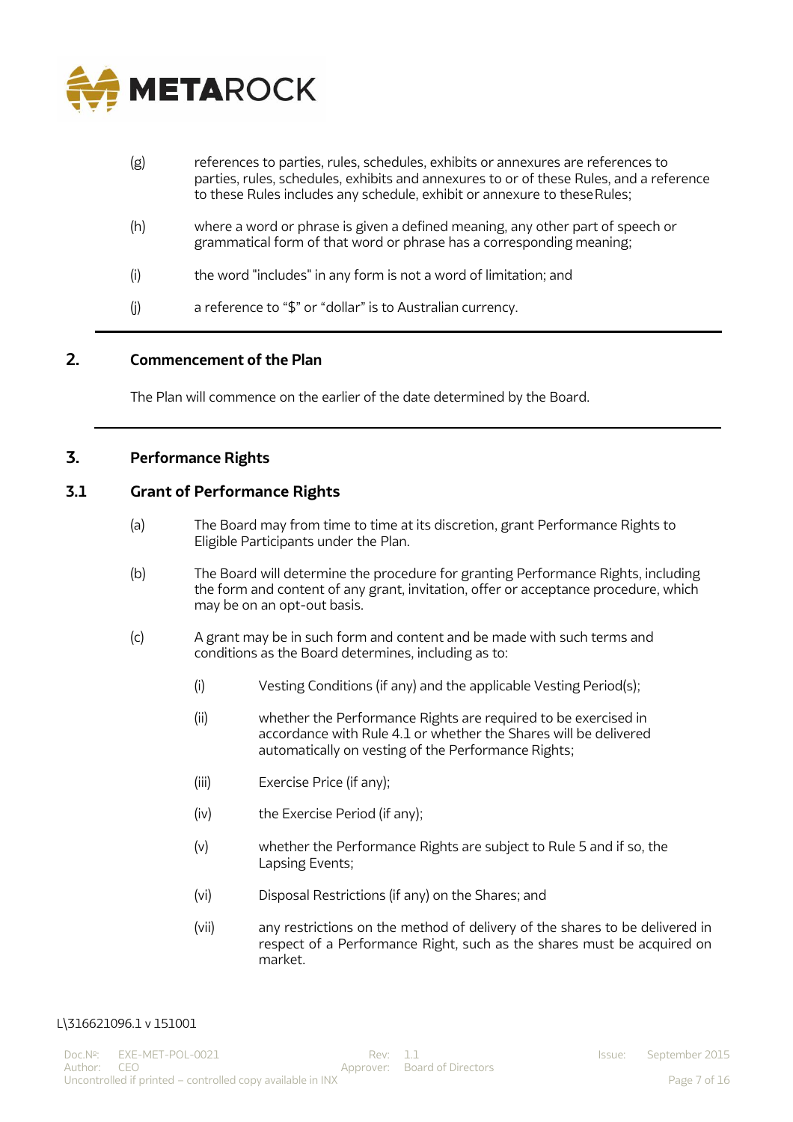

| (g) | references to parties, rules, schedules, exhibits or annexures are references to<br>parties, rules, schedules, exhibits and annexures to or of these Rules, and a reference<br>to these Rules includes any schedule, exhibit or annexure to these Rules; |
|-----|----------------------------------------------------------------------------------------------------------------------------------------------------------------------------------------------------------------------------------------------------------|
| (h) | where a word or phrase is given a defined meaning, any other part of speech or<br>grammatical form of that word or phrase has a corresponding meaning;                                                                                                   |
| (i) | the word "includes" in any form is not a word of limitation; and                                                                                                                                                                                         |
| (j) | a reference to "\$" or "dollar" is to Australian currency.                                                                                                                                                                                               |

## **2. Commencement of the Plan**

The Plan will commence on the earlier of the date determined by the Board.

### **3. Performance Rights**

## **3.1 Grant of Performance Rights**

- (a) The Board may from time to time at its discretion, grant Performance Rights to Eligible Participants under the Plan.
- (b) The Board will determine the procedure for granting Performance Rights, including the form and content of any grant, invitation, offer or acceptance procedure, which may be on an opt-out basis.
- (c) A grant may be in such form and content and be made with such terms and conditions as the Board determines, including as to:
	- (i) Vesting Conditions (if any) and the applicable Vesting Period(s);
	- (ii) whether the Performance Rights are required to be exercised in accordance with Rule 4.1 or whether the Shares will be delivered automatically on vesting of the Performance Rights;
	- (iii) Exercise Price (if any);
	- (iv) the Exercise Period (if any);
	- (v) whether the Performance Rights are subject to Rule 5 and if so, the Lapsing Events;
	- (vi) Disposal Restrictions (if any) on the Shares; and
	- (vii) any restrictions on the method of delivery of the shares to be delivered in respect of a Performance Right, such as the shares must be acquired on market.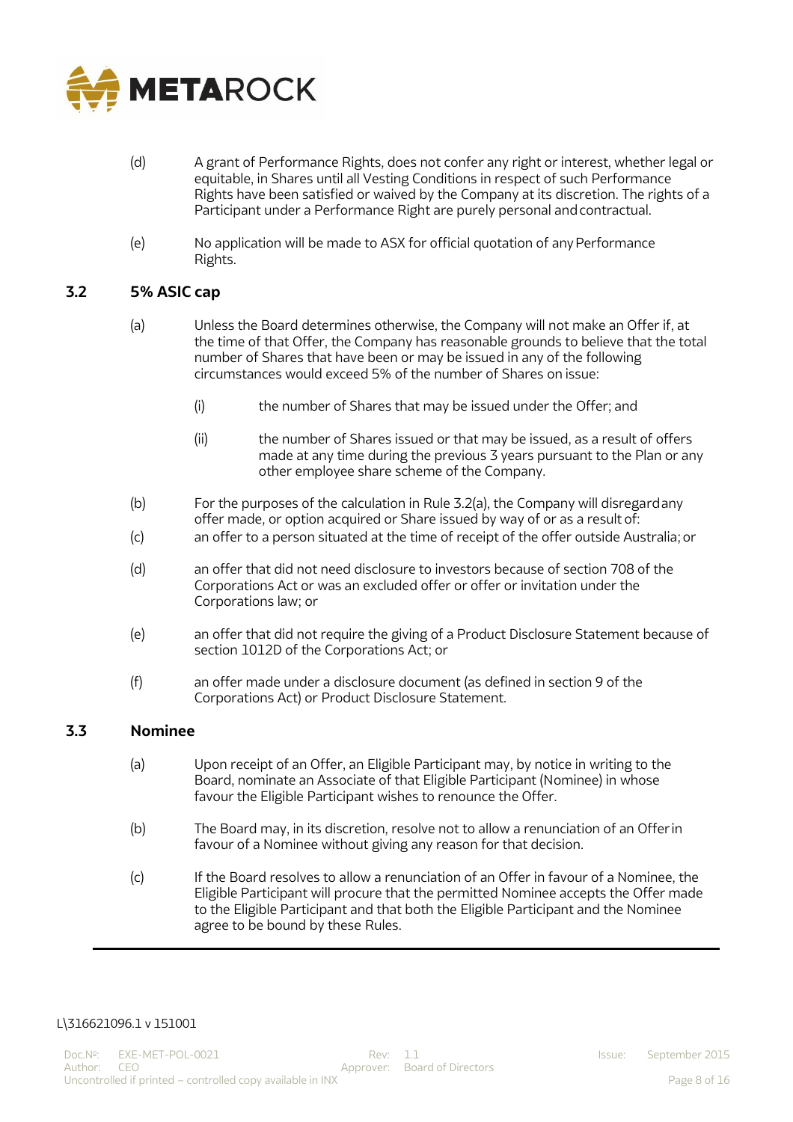

- (d) A grant of Performance Rights, does not confer any right or interest, whether legal or equitable, in Shares until all Vesting Conditions in respect of such Performance Rights have been satisfied or waived by the Company at its discretion. The rights of a Participant under a Performance Right are purely personal andcontractual.
- (e) No application will be made to ASX for official quotation of anyPerformance Rights.

#### **3.2 5% ASIC cap**

- (a) Unless the Board determines otherwise, the Company will not make an Offer if, at the time of that Offer, the Company has reasonable grounds to believe that the total number of Shares that have been or may be issued in any of the following circumstances would exceed 5% of the number of Shares on issue:
	- (i) the number of Shares that may be issued under the Offer; and
	- (ii) the number of Shares issued or that may be issued, as a result of offers made at any time during the previous 3 years pursuant to the Plan or any other employee share scheme of the Company.
- (b) For the purposes of the calculation in Rule 3.2(a), the Company will disregardany offer made, or option acquired or Share issued by way of or as a result of:
- (c) an offer to a person situated at the time of receipt of the offer outside Australia; or
- (d) an offer that did not need disclosure to investors because of section 708 of the Corporations Act or was an excluded offer or offer or invitation under the Corporations law; or
- (e) an offer that did not require the giving of a Product Disclosure Statement because of section 1012D of the Corporations Act; or
- (f) an offer made under a disclosure document (as defined in section 9 of the Corporations Act) or Product Disclosure Statement.

#### **3.3 Nominee**

- (a) Upon receipt of an Offer, an Eligible Participant may, by notice in writing to the Board, nominate an Associate of that Eligible Participant (Nominee) in whose favour the Eligible Participant wishes to renounce the Offer.
- (b) The Board may, in its discretion, resolve not to allow a renunciation of an Offer in favour of a Nominee without giving any reason for that decision.
- (c) If the Board resolves to allow a renunciation of an Offer in favour of a Nominee, the Eligible Participant will procure that the permitted Nominee accepts the Offer made to the Eligible Participant and that both the Eligible Participant and the Nominee agree to be bound by these Rules.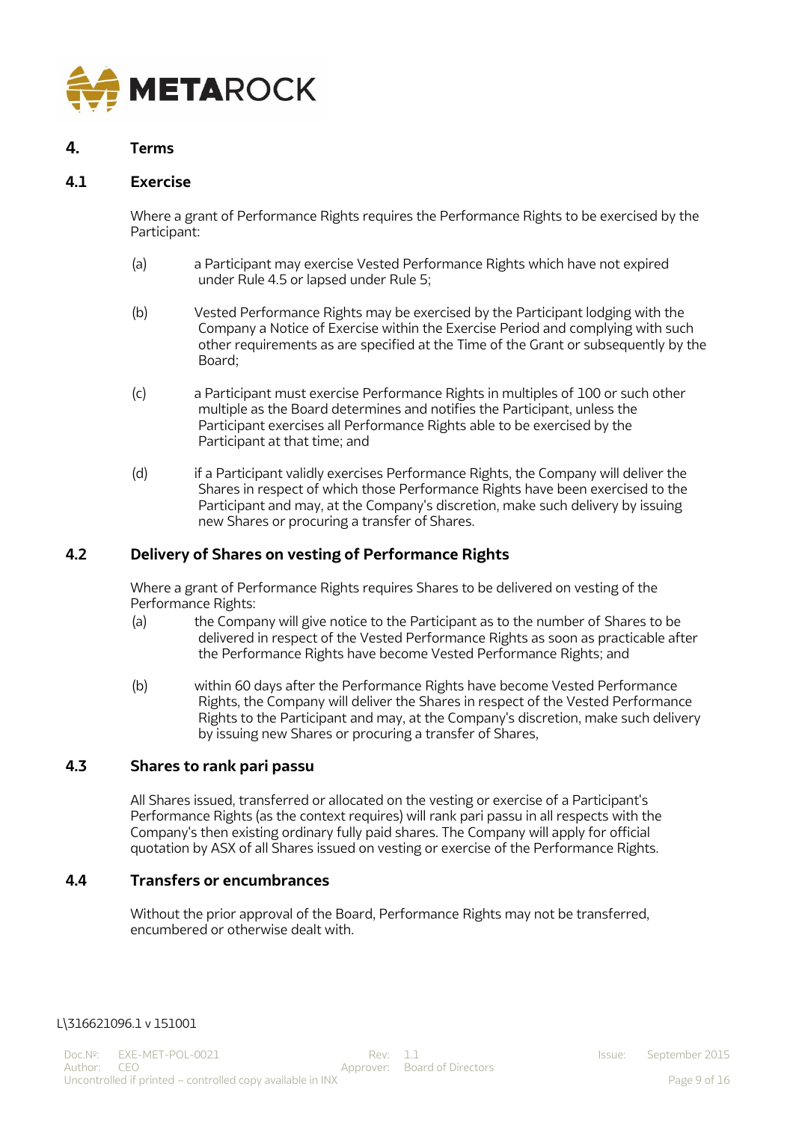

## **4. Terms**

#### **4.1 Exercise**

Where a grant of Performance Rights requires the Performance Rights to be exercised by the Participant:

- (a) a Participant may exercise Vested Performance Rights which have not expired under Rule 4.5 or lapsed under Rule 5;
- (b) Vested Performance Rights may be exercised by the Participant lodging with the Company a Notice of Exercise within the Exercise Period and complying with such other requirements as are specified at the Time of the Grant or subsequently by the Board;
- (c) a Participant must exercise Performance Rights in multiples of 100 or such other multiple as the Board determines and notifies the Participant, unless the Participant exercises all Performance Rights able to be exercised by the Participant at that time; and
- (d) if a Participant validly exercises Performance Rights, the Company will deliver the Shares in respect of which those Performance Rights have been exercised to the Participant and may, at the Company's discretion, make such delivery by issuing new Shares or procuring a transfer of Shares.

### **4.2 Delivery of Shares on vesting of Performance Rights**

Where a grant of Performance Rights requires Shares to be delivered on vesting of the Performance Rights:

- (a) the Company will give notice to the Participant as to the number of Shares to be delivered in respect of the Vested Performance Rights as soon as practicable after the Performance Rights have become Vested Performance Rights; and
- (b) within 60 days after the Performance Rights have become Vested Performance Rights, the Company will deliver the Shares in respect of the Vested Performance Rights to the Participant and may, at the Company's discretion, make such delivery by issuing new Shares or procuring a transfer of Shares,

#### **4.3 Shares to rank pari passu**

All Shares issued, transferred or allocated on the vesting or exercise of a Participant's Performance Rights (as the context requires) will rank pari passu in all respects with the Company's then existing ordinary fully paid shares. The Company will apply for official quotation by ASX of all Shares issued on vesting or exercise of the Performance Rights.

### **4.4 Transfers or encumbrances**

Without the prior approval of the Board, Performance Rights may not be transferred, encumbered or otherwise dealt with.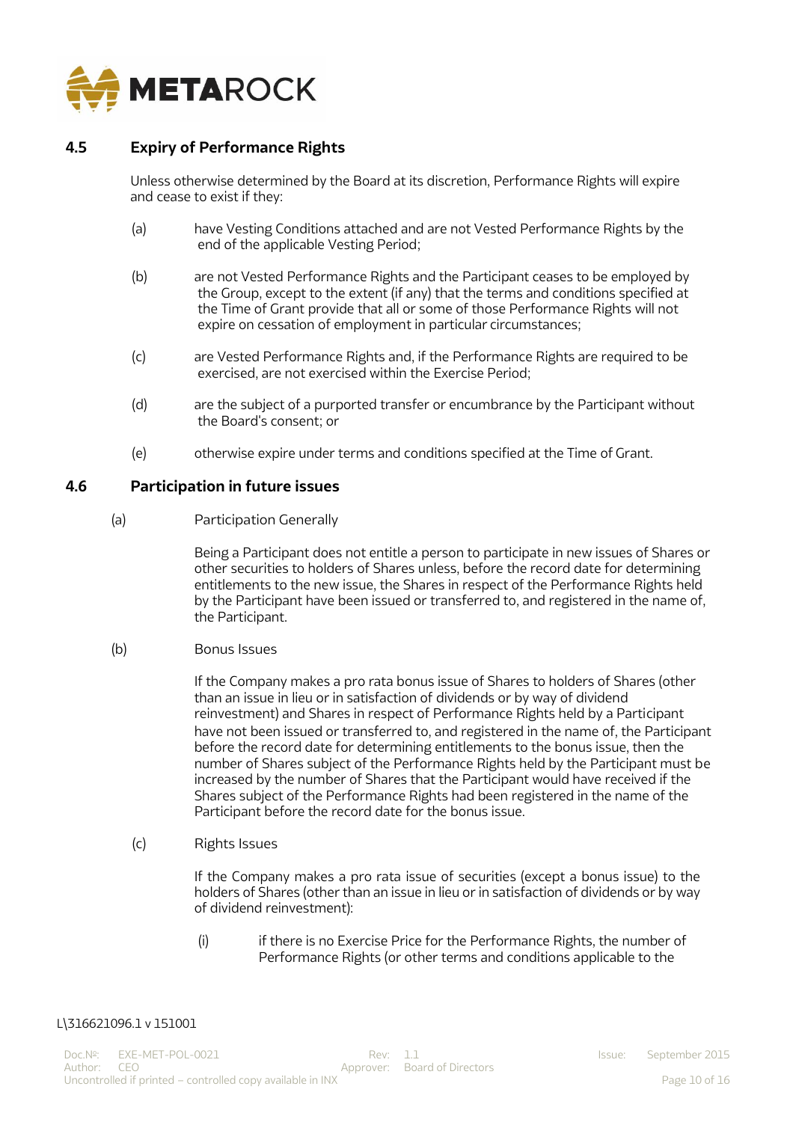

## **4.5 Expiry of Performance Rights**

Unless otherwise determined by the Board at its discretion, Performance Rights will expire and cease to exist if they:

- (a) have Vesting Conditions attached and are not Vested Performance Rights by the end of the applicable Vesting Period;
- (b) are not Vested Performance Rights and the Participant ceases to be employed by the Group, except to the extent (if any) that the terms and conditions specified at the Time of Grant provide that all or some of those Performance Rights will not expire on cessation of employment in particular circumstances;
- (c) are Vested Performance Rights and, if the Performance Rights are required to be exercised, are not exercised within the Exercise Period;
- (d) are the subject of a purported transfer or encumbrance by the Participant without the Board's consent; or
- (e) otherwise expire under terms and conditions specified at the Time of Grant.

#### **4.6 Participation in future issues**

(a) Participation Generally

Being a Participant does not entitle a person to participate in new issues of Shares or other securities to holders of Shares unless, before the record date for determining entitlements to the new issue, the Shares in respect of the Performance Rights held by the Participant have been issued or transferred to, and registered in the name of, the Participant.

(b) Bonus Issues

If the Company makes a pro rata bonus issue of Shares to holders of Shares (other than an issue in lieu or in satisfaction of dividends or by way of dividend reinvestment) and Shares in respect of Performance Rights held by a Participant have not been issued or transferred to, and registered in the name of, the Participant before the record date for determining entitlements to the bonus issue, then the number of Shares subject of the Performance Rights held by the Participant must be increased by the number of Shares that the Participant would have received if the Shares subject of the Performance Rights had been registered in the name of the Participant before the record date for the bonus issue.

(c) Rights Issues

If the Company makes a pro rata issue of securities (except a bonus issue) to the holders of Shares (other than an issue in lieu or in satisfaction of dividends or by way of dividend reinvestment):

(i) if there is no Exercise Price for the Performance Rights, the number of Performance Rights (or other terms and conditions applicable to the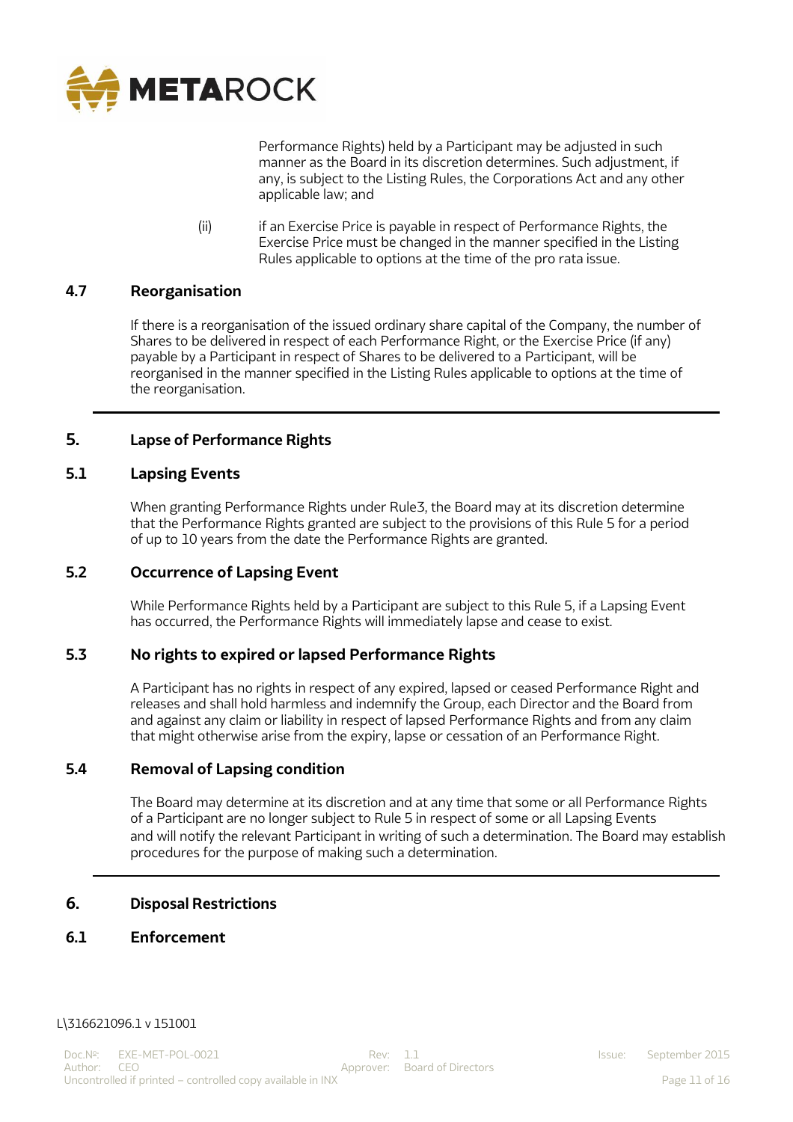

Performance Rights) held by a Participant may be adjusted in such manner as the Board in its discretion determines. Such adjustment, if any, is subject to the Listing Rules, the Corporations Act and any other applicable law; and

(ii) if an Exercise Price is payable in respect of Performance Rights, the Exercise Price must be changed in the manner specified in the Listing Rules applicable to options at the time of the pro rata issue.

## **4.7 Reorganisation**

If there is a reorganisation of the issued ordinary share capital of the Company, the number of Shares to be delivered in respect of each Performance Right, or the Exercise Price (if any) payable by a Participant in respect of Shares to be delivered to a Participant, will be reorganised in the manner specified in the Listing Rules applicable to options at the time of the reorganisation.

## **5. Lapse of Performance Rights**

## **5.1 Lapsing Events**

When granting Performance Rights under Rule3, the Board may at its discretion determine that the Performance Rights granted are subject to the provisions of this Rule 5 for a period of up to 10 years from the date the Performance Rights are granted.

### **5.2 Occurrence of Lapsing Event**

While Performance Rights held by a Participant are subject to this Rule 5, if a Lapsing Event has occurred, the Performance Rights will immediately lapse and cease to exist.

#### **5.3 No rights to expired or lapsed Performance Rights**

A Participant has no rights in respect of any expired, lapsed or ceased Performance Right and releases and shall hold harmless and indemnify the Group, each Director and the Board from and against any claim or liability in respect of lapsed Performance Rights and from any claim that might otherwise arise from the expiry, lapse or cessation of an Performance Right.

## **5.4 Removal of Lapsing condition**

The Board may determine at its discretion and at any time that some or all Performance Rights of a Participant are no longer subject to Rule 5 in respect of some or all Lapsing Events and will notify the relevant Participant in writing of such a determination. The Board may establish procedures for the purpose of making such a determination.

## **6. Disposal Restrictions**

### **6.1 Enforcement**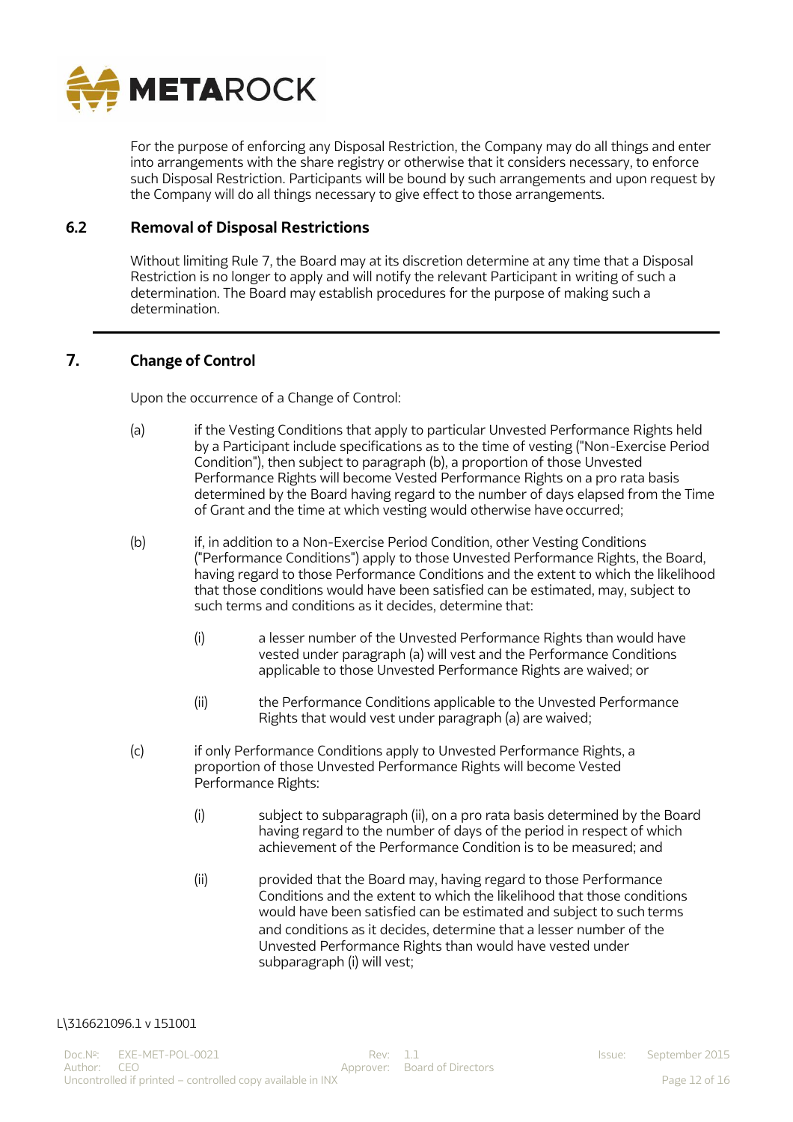

For the purpose of enforcing any Disposal Restriction, the Company may do all things and enter into arrangements with the share registry or otherwise that it considers necessary, to enforce such Disposal Restriction. Participants will be bound by such arrangements and upon request by the Company will do all things necessary to give effect to those arrangements.

#### **6.2 Removal of Disposal Restrictions**

Without limiting Rule 7, the Board may at its discretion determine at any time that a Disposal Restriction is no longer to apply and will notify the relevant Participant in writing of such a determination. The Board may establish procedures for the purpose of making such a determination.

### **7. Change of Control**

Upon the occurrence of a Change of Control:

- (a) if the Vesting Conditions that apply to particular Unvested Performance Rights held by a Participant include specifications as to the time of vesting ("Non-Exercise Period Condition"), then subject to paragraph (b), a proportion of those Unvested Performance Rights will become Vested Performance Rights on a pro rata basis determined by the Board having regard to the number of days elapsed from the Time of Grant and the time at which vesting would otherwise have occurred;
- (b) if, in addition to a Non-Exercise Period Condition, other Vesting Conditions ("Performance Conditions") apply to those Unvested Performance Rights, the Board, having regard to those Performance Conditions and the extent to which the likelihood that those conditions would have been satisfied can be estimated, may, subject to such terms and conditions as it decides, determine that:
	- (i) a lesser number of the Unvested Performance Rights than would have vested under paragraph (a) will vest and the Performance Conditions applicable to those Unvested Performance Rights are waived; or
	- (ii) the Performance Conditions applicable to the Unvested Performance Rights that would vest under paragraph (a) are waived;
- (c) if only Performance Conditions apply to Unvested Performance Rights, a proportion of those Unvested Performance Rights will become Vested Performance Rights:
	- (i) subject to subparagraph (ii), on a pro rata basis determined by the Board having regard to the number of days of the period in respect of which achievement of the Performance Condition is to be measured; and
	- (ii) provided that the Board may, having regard to those Performance Conditions and the extent to which the likelihood that those conditions would have been satisfied can be estimated and subject to such terms and conditions as it decides, determine that a lesser number of the Unvested Performance Rights than would have vested under subparagraph (i) will vest;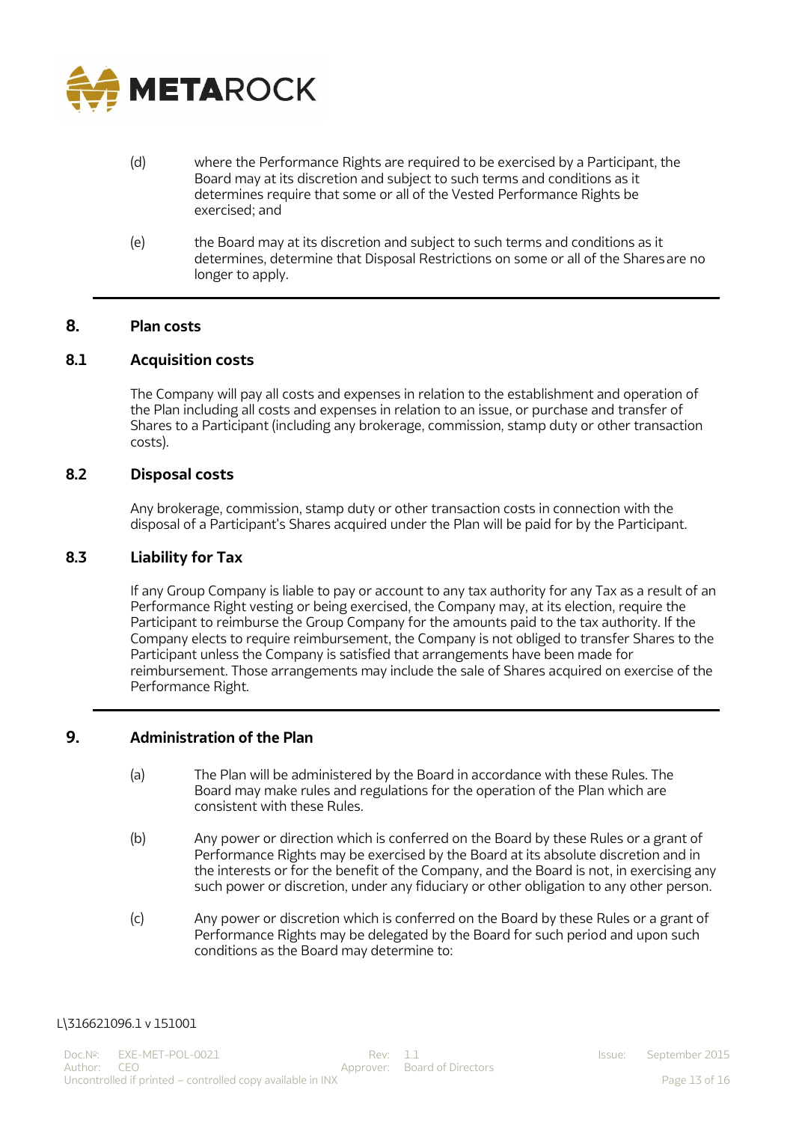

- (d) where the Performance Rights are required to be exercised by a Participant, the Board may at its discretion and subject to such terms and conditions as it determines require that some or all of the Vested Performance Rights be exercised; and
- (e) the Board may at its discretion and subject to such terms and conditions as it determines, determine that Disposal Restrictions on some or all of the Sharesare no longer to apply.

#### **8. Plan costs**

### **8.1 Acquisition costs**

The Company will pay all costs and expenses in relation to the establishment and operation of the Plan including all costs and expenses in relation to an issue, or purchase and transfer of Shares to a Participant (including any brokerage, commission, stamp duty or other transaction costs).

#### **8.2 Disposal costs**

Any brokerage, commission, stamp duty or other transaction costs in connection with the disposal of a Participant's Shares acquired under the Plan will be paid for by the Participant.

#### **8.3 Liability for Tax**

If any Group Company is liable to pay or account to any tax authority for any Tax as a result of an Performance Right vesting or being exercised, the Company may, at its election, require the Participant to reimburse the Group Company for the amounts paid to the tax authority. If the Company elects to require reimbursement, the Company is not obliged to transfer Shares to the Participant unless the Company is satisfied that arrangements have been made for reimbursement. Those arrangements may include the sale of Shares acquired on exercise of the Performance Right.

### **9. Administration of the Plan**

- (a) The Plan will be administered by the Board in accordance with these Rules. The Board may make rules and regulations for the operation of the Plan which are consistent with these Rules.
- (b) Any power or direction which is conferred on the Board by these Rules or a grant of Performance Rights may be exercised by the Board at its absolute discretion and in the interests or for the benefit of the Company, and the Board is not, in exercising any such power or discretion, under any fiduciary or other obligation to any other person.
- (c) Any power or discretion which is conferred on the Board by these Rules or a grant of Performance Rights may be delegated by the Board for such period and upon such conditions as the Board may determine to: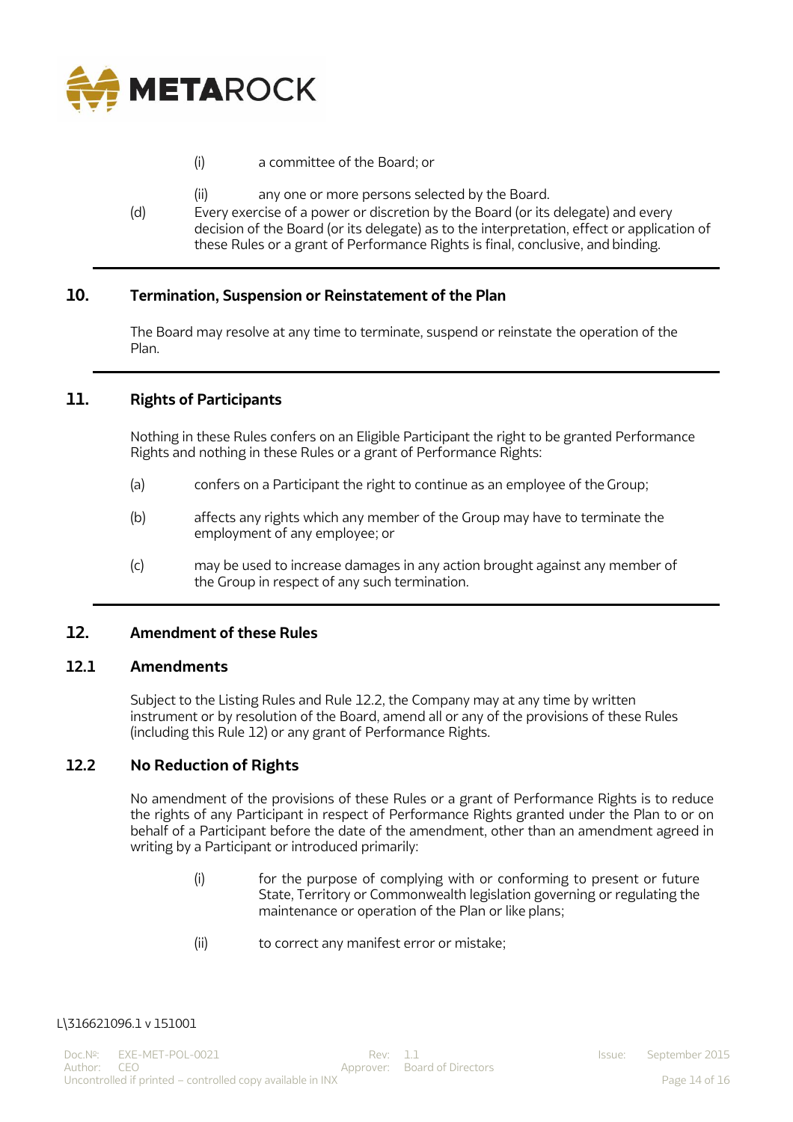

- (i) a committee of the Board; or
- (ii) any one or more persons selected by the Board.
- (d) Every exercise of a power or discretion by the Board (or its delegate) and every decision of the Board (or its delegate) as to the interpretation, effect or application of these Rules or a grant of Performance Rights is final, conclusive, and binding.

## **10. Termination, Suspension or Reinstatement of the Plan**

The Board may resolve at any time to terminate, suspend or reinstate the operation of the Plan.

### **11. Rights of Participants**

Nothing in these Rules confers on an Eligible Participant the right to be granted Performance Rights and nothing in these Rules or a grant of Performance Rights:

- (a) confers on a Participant the right to continue as an employee of the Group;
- (b) affects any rights which any member of the Group may have to terminate the employment of any employee; or
- (c) may be used to increase damages in any action brought against any member of the Group in respect of any such termination.

#### **12. Amendment of these Rules**

#### **12.1 Amendments**

Subject to the Listing Rules and Rule 12.2, the Company may at any time by written instrument or by resolution of the Board, amend all or any of the provisions of these Rules (including this Rule 12) or any grant of Performance Rights.

#### **12.2 No Reduction of Rights**

No amendment of the provisions of these Rules or a grant of Performance Rights is to reduce the rights of any Participant in respect of Performance Rights granted under the Plan to or on behalf of a Participant before the date of the amendment, other than an amendment agreed in writing by a Participant or introduced primarily:

- (i) for the purpose of complying with or conforming to present or future State, Territory or Commonwealth legislation governing or regulating the maintenance or operation of the Plan or like plans;
- (ii) to correct any manifest error or mistake;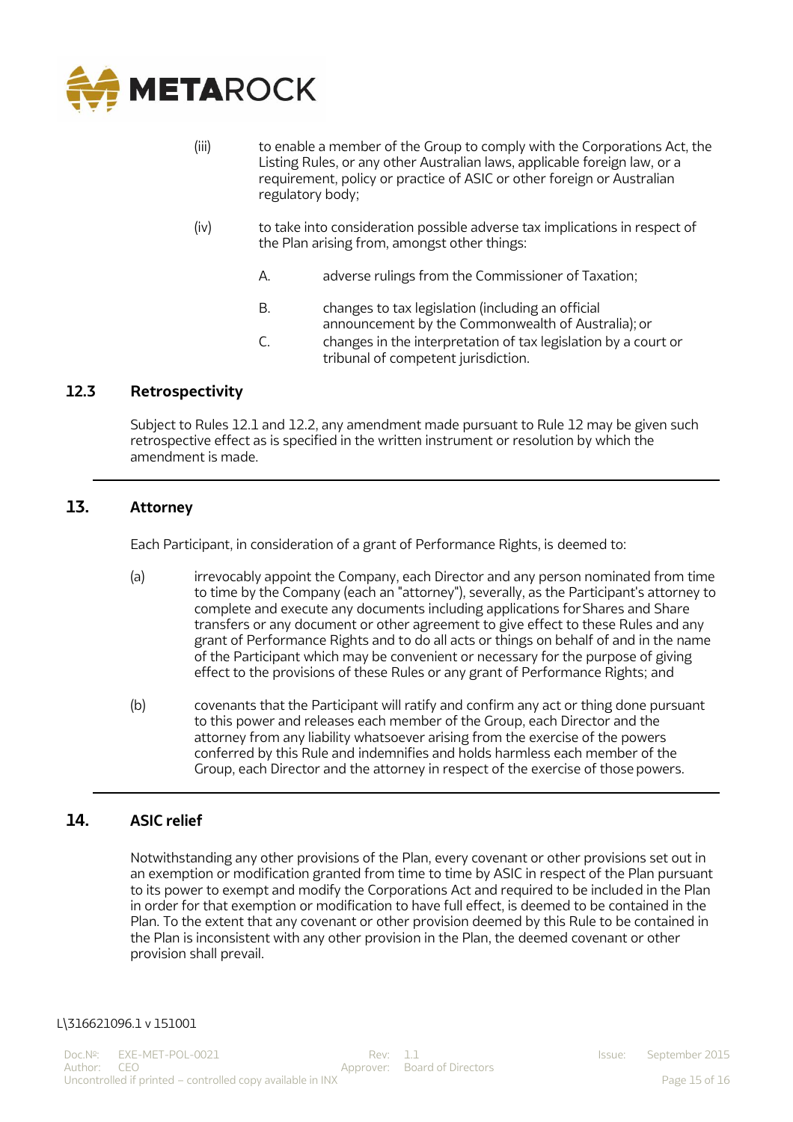

- (iii) to enable a member of the Group to comply with the Corporations Act, the Listing Rules, or any other Australian laws, applicable foreign law, or a requirement, policy or practice of ASIC or other foreign or Australian regulatory body;
- (iv) to take into consideration possible adverse tax implications in respect of the Plan arising from, amongst other things:
	- A. adverse rulings from the Commissioner of Taxation;
	- B. changes to tax legislation (including an official announcement by the Commonwealth of Australia); or
	- C. changes in the interpretation of tax legislation by a court or tribunal of competent jurisdiction.

## **12.3 Retrospectivity**

Subject to Rules 12.1 and 12.2, any amendment made pursuant to Rule 12 may be given such retrospective effect as is specified in the written instrument or resolution by which the amendment is made.

### **13. Attorney**

Each Participant, in consideration of a grant of Performance Rights, is deemed to:

- (a) irrevocably appoint the Company, each Director and any person nominated from time to time by the Company (each an "attorney"), severally, as the Participant's attorney to complete and execute any documents including applications forShares and Share transfers or any document or other agreement to give effect to these Rules and any grant of Performance Rights and to do all acts or things on behalf of and in the name of the Participant which may be convenient or necessary for the purpose of giving effect to the provisions of these Rules or any grant of Performance Rights; and
- (b) covenants that the Participant will ratify and confirm any act or thing done pursuant to this power and releases each member of the Group, each Director and the attorney from any liability whatsoever arising from the exercise of the powers conferred by this Rule and indemnifies and holds harmless each member of the Group, each Director and the attorney in respect of the exercise of those powers.

## **14. ASIC relief**

Notwithstanding any other provisions of the Plan, every covenant or other provisions set out in an exemption or modification granted from time to time by ASIC in respect of the Plan pursuant to its power to exempt and modify the Corporations Act and required to be included in the Plan in order for that exemption or modification to have full effect, is deemed to be contained in the Plan. To the extent that any covenant or other provision deemed by this Rule to be contained in the Plan is inconsistent with any other provision in the Plan, the deemed covenant or other provision shall prevail.